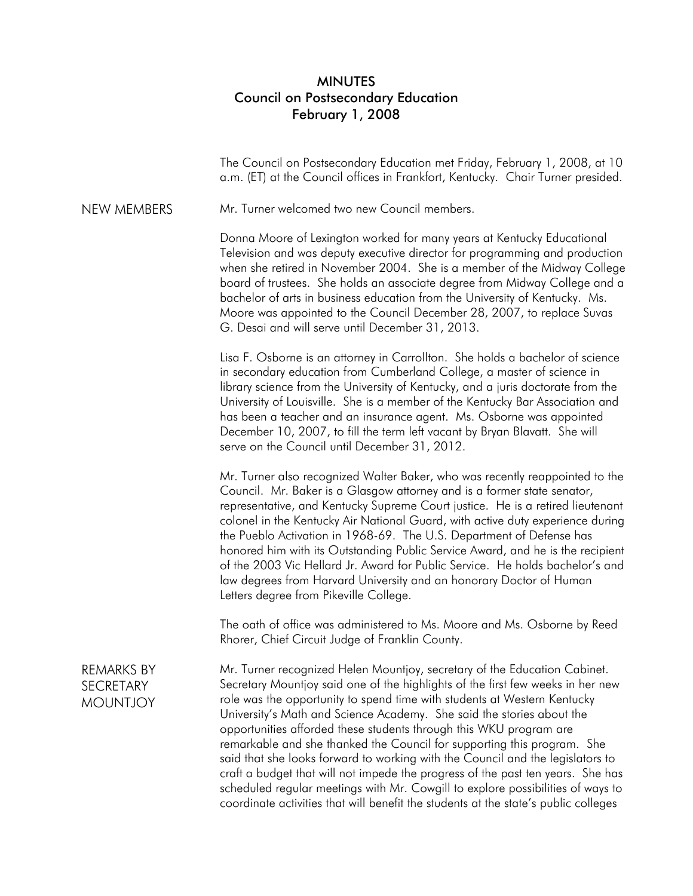## MINUTES Council on Postsecondary Education February 1, 2008

The Council on Postsecondary Education met Friday, February 1, 2008, at 10 a.m. (ET) at the Council offices in Frankfort, Kentucky. Chair Turner presided.

NEW MEMBERS Mr. Turner welcomed two new Council members.

Donna Moore of Lexington worked for many years at Kentucky Educational Television and was deputy executive director for programming and production when she retired in November 2004. She is a member of the Midway College board of trustees. She holds an associate degree from Midway College and a bachelor of arts in business education from the University of Kentucky. Ms. Moore was appointed to the Council December 28, 2007, to replace Suvas G. Desai and will serve until December 31, 2013.

Lisa F. Osborne is an attorney in Carrollton. She holds a bachelor of science in secondary education from Cumberland College, a master of science in library science from the University of Kentucky, and a juris doctorate from the University of Louisville. She is a member of the Kentucky Bar Association and has been a teacher and an insurance agent. Ms. Osborne was appointed December 10, 2007, to fill the term left vacant by Bryan Blavatt. She will serve on the Council until December 31, 2012.

Mr. Turner also recognized Walter Baker, who was recently reappointed to the Council. Mr. Baker is a Glasgow attorney and is a former state senator, representative, and Kentucky Supreme Court justice. He is a retired lieutenant colonel in the Kentucky Air National Guard, with active duty experience during the Pueblo Activation in 1968-69. The U.S. Department of Defense has honored him with its Outstanding Public Service Award, and he is the recipient of the 2003 Vic Hellard Jr. Award for Public Service. He holds bachelor's and law degrees from Harvard University and an honorary Doctor of Human Letters degree from Pikeville College.

The oath of office was administered to Ms. Moore and Ms. Osborne by Reed Rhorer, Chief Circuit Judge of Franklin County.

REMARKS BY **SECRETARY** MOUNTJOY Mr. Turner recognized Helen Mountjoy, secretary of the Education Cabinet. Secretary Mountjoy said one of the highlights of the first few weeks in her new role was the opportunity to spend time with students at Western Kentucky University's Math and Science Academy. She said the stories about the opportunities afforded these students through this WKU program are remarkable and she thanked the Council for supporting this program. She said that she looks forward to working with the Council and the legislators to craft a budget that will not impede the progress of the past ten years. She has scheduled regular meetings with Mr. Cowgill to explore possibilities of ways to coordinate activities that will benefit the students at the state's public colleges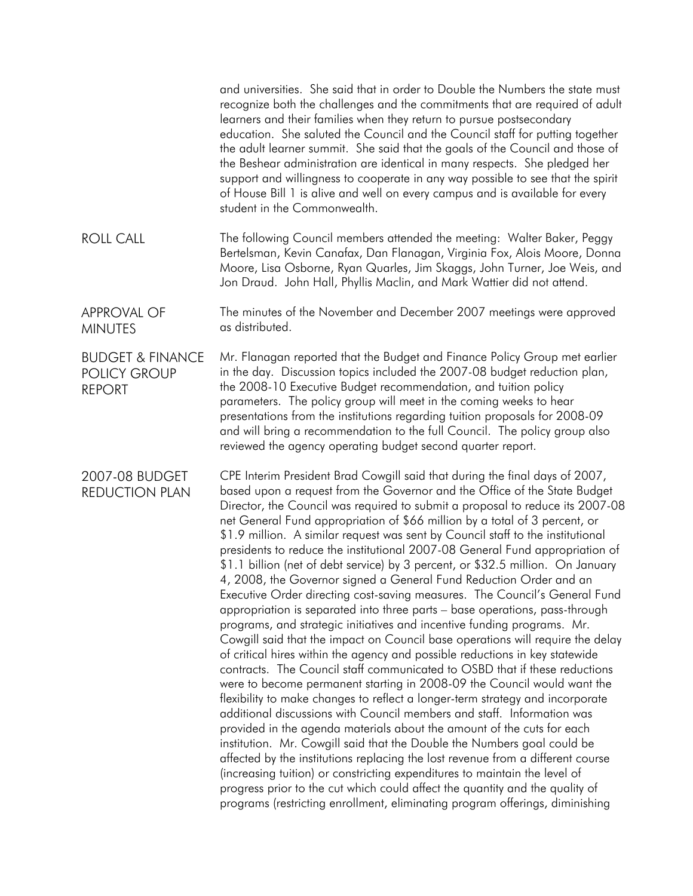|                                                                     | and universities. She said that in order to Double the Numbers the state must<br>recognize both the challenges and the commitments that are required of adult<br>learners and their families when they return to pursue postsecondary<br>education. She saluted the Council and the Council staff for putting together<br>the adult learner summit. She said that the goals of the Council and those of<br>the Beshear administration are identical in many respects. She pledged her<br>support and willingness to cooperate in any way possible to see that the spirit<br>of House Bill 1 is alive and well on every campus and is available for every<br>student in the Commonwealth.                                                                                                                                                                                                                                                                                                                                                                                                                                                                                                                                                                                                                                                                                                                                                                                                                                                                                                                                                                                                                                                                                                                                                                                |
|---------------------------------------------------------------------|-------------------------------------------------------------------------------------------------------------------------------------------------------------------------------------------------------------------------------------------------------------------------------------------------------------------------------------------------------------------------------------------------------------------------------------------------------------------------------------------------------------------------------------------------------------------------------------------------------------------------------------------------------------------------------------------------------------------------------------------------------------------------------------------------------------------------------------------------------------------------------------------------------------------------------------------------------------------------------------------------------------------------------------------------------------------------------------------------------------------------------------------------------------------------------------------------------------------------------------------------------------------------------------------------------------------------------------------------------------------------------------------------------------------------------------------------------------------------------------------------------------------------------------------------------------------------------------------------------------------------------------------------------------------------------------------------------------------------------------------------------------------------------------------------------------------------------------------------------------------------|
| <b>ROLL CALL</b>                                                    | The following Council members attended the meeting: Walter Baker, Peggy<br>Bertelsman, Kevin Canafax, Dan Flanagan, Virginia Fox, Alois Moore, Donna<br>Moore, Lisa Osborne, Ryan Quarles, Jim Skaggs, John Turner, Joe Weis, and<br>Jon Draud. John Hall, Phyllis Maclin, and Mark Wattier did not attend.                                                                                                                                                                                                                                                                                                                                                                                                                                                                                                                                                                                                                                                                                                                                                                                                                                                                                                                                                                                                                                                                                                                                                                                                                                                                                                                                                                                                                                                                                                                                                             |
| <b>APPROVAL OF</b><br><b>MINUTES</b>                                | The minutes of the November and December 2007 meetings were approved<br>as distributed.                                                                                                                                                                                                                                                                                                                                                                                                                                                                                                                                                                                                                                                                                                                                                                                                                                                                                                                                                                                                                                                                                                                                                                                                                                                                                                                                                                                                                                                                                                                                                                                                                                                                                                                                                                                 |
| <b>BUDGET &amp; FINANCE</b><br><b>POLICY GROUP</b><br><b>REPORT</b> | Mr. Flanagan reported that the Budget and Finance Policy Group met earlier<br>in the day. Discussion topics included the 2007-08 budget reduction plan,<br>the 2008-10 Executive Budget recommendation, and tuition policy<br>parameters. The policy group will meet in the coming weeks to hear<br>presentations from the institutions regarding tuition proposals for 2008-09<br>and will bring a recommendation to the full Council. The policy group also<br>reviewed the agency operating budget second quarter report.                                                                                                                                                                                                                                                                                                                                                                                                                                                                                                                                                                                                                                                                                                                                                                                                                                                                                                                                                                                                                                                                                                                                                                                                                                                                                                                                            |
| 2007-08 BUDGET<br><b>REDUCTION PLAN</b>                             | CPE Interim President Brad Cowgill said that during the final days of 2007,<br>based upon a request from the Governor and the Office of the State Budget<br>Director, the Council was required to submit a proposal to reduce its 2007-08<br>net General Fund appropriation of \$66 million by a total of 3 percent, or<br>\$1.9 million. A similar request was sent by Council staff to the institutional<br>presidents to reduce the institutional 2007-08 General Fund appropriation of<br>\$1.1 billion (net of debt service) by 3 percent, or \$32.5 million. On January<br>4, 2008, the Governor signed a General Fund Reduction Order and an<br>Executive Order directing cost-saving measures. The Council's General Fund<br>appropriation is separated into three parts - base operations, pass-through<br>programs, and strategic initiatives and incentive funding programs. Mr.<br>Cowgill said that the impact on Council base operations will require the delay<br>of critical hires within the agency and possible reductions in key statewide<br>contracts. The Council staff communicated to OSBD that if these reductions<br>were to become permanent starting in 2008-09 the Council would want the<br>flexibility to make changes to reflect a longer-term strategy and incorporate<br>additional discussions with Council members and staff. Information was<br>provided in the agenda materials about the amount of the cuts for each<br>institution. Mr. Cowgill said that the Double the Numbers goal could be<br>affected by the institutions replacing the lost revenue from a different course<br>(increasing tuition) or constricting expenditures to maintain the level of<br>progress prior to the cut which could affect the quantity and the quality of<br>programs (restricting enrollment, eliminating program offerings, diminishing |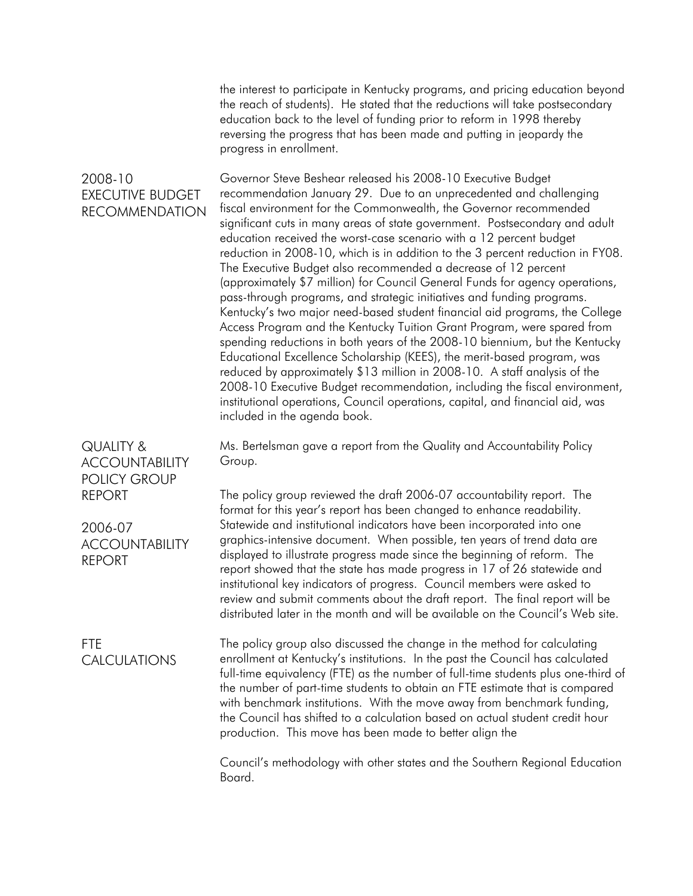the interest to participate in Kentucky programs, and pricing education beyond the reach of students). He stated that the reductions will take postsecondary education back to the level of funding prior to reform in 1998 thereby reversing the progress that has been made and putting in jeopardy the progress in enrollment.

2008-10 EXECUTIVE BUDGET RECOMMENDATION Governor Steve Beshear released his 2008-10 Executive Budget recommendation January 29. Due to an unprecedented and challenging fiscal environment for the Commonwealth, the Governor recommended significant cuts in many areas of state government. Postsecondary and adult education received the worst-case scenario with a 12 percent budget reduction in 2008-10, which is in addition to the 3 percent reduction in FY08. The Executive Budget also recommended a decrease of 12 percent (approximately \$7 million) for Council General Funds for agency operations, pass-through programs, and strategic initiatives and funding programs. Kentucky's two major need-based student financial aid programs, the College Access Program and the Kentucky Tuition Grant Program, were spared from spending reductions in both years of the 2008-10 biennium, but the Kentucky Educational Excellence Scholarship (KEES), the merit-based program, was reduced by approximately \$13 million in 2008-10. A staff analysis of the 2008-10 Executive Budget recommendation, including the fiscal environment, institutional operations, Council operations, capital, and financial aid, was included in the agenda book.

> Ms. Bertelsman gave a report from the Quality and Accountability Policy Group.

The policy group reviewed the draft 2006-07 accountability report. The format for this year's report has been changed to enhance readability. Statewide and institutional indicators have been incorporated into one graphics-intensive document. When possible, ten years of trend data are displayed to illustrate progress made since the beginning of reform. The report showed that the state has made progress in 17 of 26 statewide and institutional key indicators of progress. Council members were asked to review and submit comments about the draft report. The final report will be distributed later in the month and will be available on the Council's Web site.

The policy group also discussed the change in the method for calculating enrollment at Kentucky's institutions. In the past the Council has calculated full-time equivalency (FTE) as the number of full-time students plus one-third of the number of part-time students to obtain an FTE estimate that is compared with benchmark institutions. With the move away from benchmark funding, the Council has shifted to a calculation based on actual student credit hour production. This move has been made to better align the

Council's methodology with other states and the Southern Regional Education Board.

QUALITY & ACCOUNTABILITY POLICY GROUP REPORT

2006-07 ACCOUNTABILITY REPORT

FTE CALCULATIONS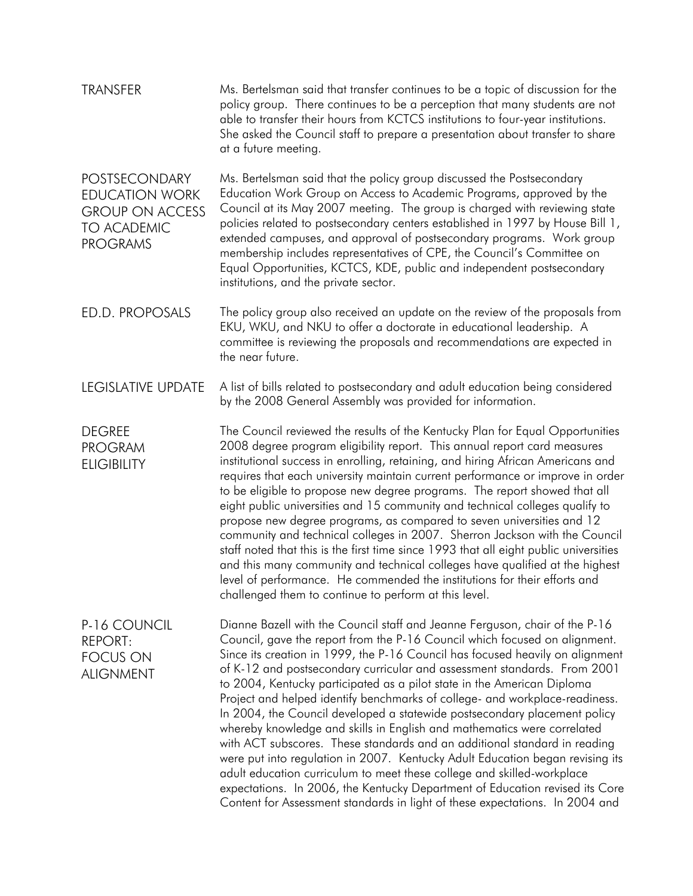| <b>TRANSFER</b>                                                                                                  | Ms. Bertelsman said that transfer continues to be a topic of discussion for the<br>policy group. There continues to be a perception that many students are not<br>able to transfer their hours from KCTCS institutions to four-year institutions.<br>She asked the Council staff to prepare a presentation about transfer to share<br>at a future meeting.                                                                                                                                                                                                                                                                                                                                                                                                                                                                                                                                                                                                                                                                                       |
|------------------------------------------------------------------------------------------------------------------|--------------------------------------------------------------------------------------------------------------------------------------------------------------------------------------------------------------------------------------------------------------------------------------------------------------------------------------------------------------------------------------------------------------------------------------------------------------------------------------------------------------------------------------------------------------------------------------------------------------------------------------------------------------------------------------------------------------------------------------------------------------------------------------------------------------------------------------------------------------------------------------------------------------------------------------------------------------------------------------------------------------------------------------------------|
| <b>POSTSECONDARY</b><br><b>EDUCATION WORK</b><br><b>GROUP ON ACCESS</b><br><b>TO ACADEMIC</b><br><b>PROGRAMS</b> | Ms. Bertelsman said that the policy group discussed the Postsecondary<br>Education Work Group on Access to Academic Programs, approved by the<br>Council at its May 2007 meeting. The group is charged with reviewing state<br>policies related to postsecondary centers established in 1997 by House Bill 1,<br>extended campuses, and approval of postsecondary programs. Work group<br>membership includes representatives of CPE, the Council's Committee on<br>Equal Opportunities, KCTCS, KDE, public and independent postsecondary<br>institutions, and the private sector.                                                                                                                                                                                                                                                                                                                                                                                                                                                               |
| ED.D. PROPOSALS                                                                                                  | The policy group also received an update on the review of the proposals from<br>EKU, WKU, and NKU to offer a doctorate in educational leadership. A<br>committee is reviewing the proposals and recommendations are expected in<br>the near future.                                                                                                                                                                                                                                                                                                                                                                                                                                                                                                                                                                                                                                                                                                                                                                                              |
| LEGISLATIVE UPDATE                                                                                               | A list of bills related to postsecondary and adult education being considered<br>by the 2008 General Assembly was provided for information.                                                                                                                                                                                                                                                                                                                                                                                                                                                                                                                                                                                                                                                                                                                                                                                                                                                                                                      |
| <b>DEGREE</b><br><b>PROGRAM</b><br><b>ELIGIBILITY</b>                                                            | The Council reviewed the results of the Kentucky Plan for Equal Opportunities<br>2008 degree program eligibility report. This annual report card measures<br>institutional success in enrolling, retaining, and hiring African Americans and<br>requires that each university maintain current performance or improve in order<br>to be eligible to propose new degree programs. The report showed that all<br>eight public universities and 15 community and technical colleges qualify to<br>propose new degree programs, as compared to seven universities and 12<br>community and technical colleges in 2007. Sherron Jackson with the Council<br>staff noted that this is the first time since 1993 that all eight public universities<br>and this many community and technical colleges have qualified at the highest<br>level of performance. He commended the institutions for their efforts and<br>challenged them to continue to perform at this level.                                                                                |
| P-16 COUNCIL<br><b>REPORT:</b><br><b>FOCUS ON</b><br><b>ALIGNMENT</b>                                            | Dianne Bazell with the Council staff and Jeanne Ferguson, chair of the P-16<br>Council, gave the report from the P-16 Council which focused on alignment.<br>Since its creation in 1999, the P-16 Council has focused heavily on alignment<br>of K-12 and postsecondary curricular and assessment standards. From 2001<br>to 2004, Kentucky participated as a pilot state in the American Diploma<br>Project and helped identify benchmarks of college- and workplace-readiness.<br>In 2004, the Council developed a statewide postsecondary placement policy<br>whereby knowledge and skills in English and mathematics were correlated<br>with ACT subscores. These standards and an additional standard in reading<br>were put into regulation in 2007. Kentucky Adult Education began revising its<br>adult education curriculum to meet these college and skilled-workplace<br>expectations. In 2006, the Kentucky Department of Education revised its Core<br>Content for Assessment standards in light of these expectations. In 2004 and |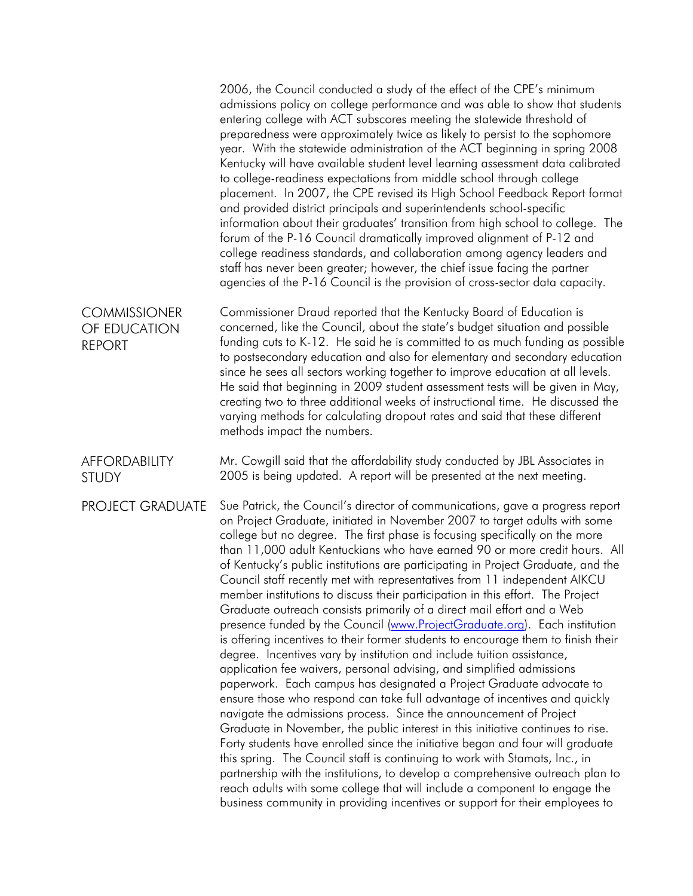|                                                      | 2006, the Council conducted a study of the effect of the CPE's minimum<br>admissions policy on college performance and was able to show that students<br>entering college with ACT subscores meeting the statewide threshold of<br>preparedness were approximately twice as likely to persist to the sophomore<br>year. With the statewide administration of the ACT beginning in spring 2008<br>Kentucky will have available student level learning assessment data calibrated<br>to college-readiness expectations from middle school through college<br>placement. In 2007, the CPE revised its High School Feedback Report format<br>and provided district principals and superintendents school-specific<br>information about their graduates' transition from high school to college. The<br>forum of the P-16 Council dramatically improved alignment of P-12 and<br>college readiness standards, and collaboration among agency leaders and<br>staff has never been greater; however, the chief issue facing the partner<br>agencies of the P-16 Council is the provision of cross-sector data capacity.                                                                                                                                                                                                                                                                                                                                                                                                                                                                                                                                                                                            |
|------------------------------------------------------|-------------------------------------------------------------------------------------------------------------------------------------------------------------------------------------------------------------------------------------------------------------------------------------------------------------------------------------------------------------------------------------------------------------------------------------------------------------------------------------------------------------------------------------------------------------------------------------------------------------------------------------------------------------------------------------------------------------------------------------------------------------------------------------------------------------------------------------------------------------------------------------------------------------------------------------------------------------------------------------------------------------------------------------------------------------------------------------------------------------------------------------------------------------------------------------------------------------------------------------------------------------------------------------------------------------------------------------------------------------------------------------------------------------------------------------------------------------------------------------------------------------------------------------------------------------------------------------------------------------------------------------------------------------------------------------------------------------|
| <b>COMMISSIONER</b><br>OF EDUCATION<br><b>REPORT</b> | Commissioner Draud reported that the Kentucky Board of Education is<br>concerned, like the Council, about the state's budget situation and possible<br>funding cuts to K-12. He said he is committed to as much funding as possible<br>to postsecondary education and also for elementary and secondary education<br>since he sees all sectors working together to improve education at all levels.<br>He said that beginning in 2009 student assessment tests will be given in May,<br>creating two to three additional weeks of instructional time. He discussed the<br>varying methods for calculating dropout rates and said that these different<br>methods impact the numbers.                                                                                                                                                                                                                                                                                                                                                                                                                                                                                                                                                                                                                                                                                                                                                                                                                                                                                                                                                                                                                        |
| <b>AFFORDABILITY</b><br><b>STUDY</b>                 | Mr. Cowgill said that the affordability study conducted by JBL Associates in<br>2005 is being updated. A report will be presented at the next meeting.                                                                                                                                                                                                                                                                                                                                                                                                                                                                                                                                                                                                                                                                                                                                                                                                                                                                                                                                                                                                                                                                                                                                                                                                                                                                                                                                                                                                                                                                                                                                                      |
| <b>PROJECT GRADUATE</b>                              | Sue Patrick, the Council's director of communications, gave a progress report<br>on Project Graduate, initiated in November 2007 to target adults with some<br>college but no degree. The first phase is focusing specifically on the more<br>than 11,000 adult Kentuckians who have earned 90 or more credit hours. All<br>of Kentucky's public institutions are participating in Project Graduate, and the<br>Council staff recently met with representatives from 11 independent AIKCU<br>member institutions to discuss their participation in this effort. The Project<br>Graduate outreach consists primarily of a direct mail effort and a Web<br>presence funded by the Council (www.ProjectGraduate.org). Each institution<br>is offering incentives to their former students to encourage them to finish their<br>degree. Incentives vary by institution and include tuition assistance,<br>application fee waivers, personal advising, and simplified admissions<br>paperwork. Each campus has designated a Project Graduate advocate to<br>ensure those who respond can take full advantage of incentives and quickly<br>navigate the admissions process. Since the announcement of Project<br>Graduate in November, the public interest in this initiative continues to rise.<br>Forty students have enrolled since the initiative began and four will graduate<br>this spring. The Council staff is continuing to work with Stamats, Inc., in<br>partnership with the institutions, to develop a comprehensive outreach plan to<br>reach adults with some college that will include a component to engage the<br>business community in providing incentives or support for their employees to |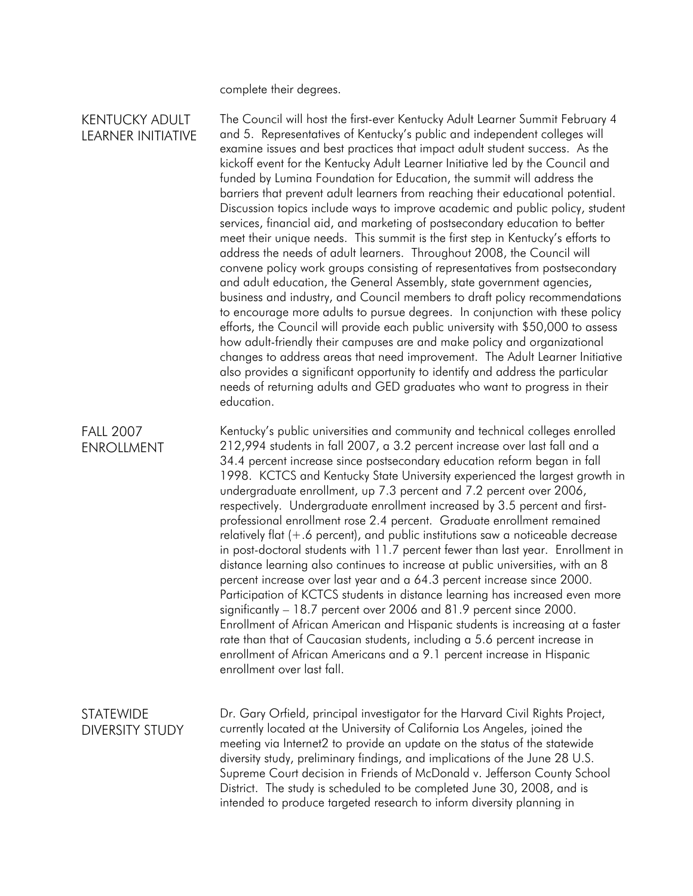complete their degrees.

## KENTUCKY ADULT LEARNER INITIATIVE

The Council will host the first-ever Kentucky Adult Learner Summit February 4 and 5. Representatives of Kentucky's public and independent colleges will examine issues and best practices that impact adult student success. As the kickoff event for the Kentucky Adult Learner Initiative led by the Council and funded by Lumina Foundation for Education, the summit will address the barriers that prevent adult learners from reaching their educational potential. Discussion topics include ways to improve academic and public policy, student services, financial aid, and marketing of postsecondary education to better meet their unique needs. This summit is the first step in Kentucky's efforts to address the needs of adult learners. Throughout 2008, the Council will convene policy work groups consisting of representatives from postsecondary and adult education, the General Assembly, state government agencies, business and industry, and Council members to draft policy recommendations to encourage more adults to pursue degrees. In conjunction with these policy efforts, the Council will provide each public university with \$50,000 to assess how adult-friendly their campuses are and make policy and organizational changes to address areas that need improvement. The Adult Learner Initiative also provides a significant opportunity to identify and address the particular needs of returning adults and GED graduates who want to progress in their education.

FALL 2007 ENROLLMENT Kentucky's public universities and community and technical colleges enrolled 212,994 students in fall 2007, a 3.2 percent increase over last fall and a 34.4 percent increase since postsecondary education reform began in fall 1998. KCTCS and Kentucky State University experienced the largest growth in undergraduate enrollment, up 7.3 percent and 7.2 percent over 2006, respectively. Undergraduate enrollment increased by 3.5 percent and firstprofessional enrollment rose 2.4 percent. Graduate enrollment remained relatively flat (+.6 percent), and public institutions saw a noticeable decrease in post-doctoral students with 11.7 percent fewer than last year. Enrollment in distance learning also continues to increase at public universities, with an 8 percent increase over last year and a 64.3 percent increase since 2000. Participation of KCTCS students in distance learning has increased even more significantly – 18.7 percent over 2006 and 81.9 percent since 2000. Enrollment of African American and Hispanic students is increasing at a faster rate than that of Caucasian students, including a 5.6 percent increase in enrollment of African Americans and a 9.1 percent increase in Hispanic enrollment over last fall.

## **STATEWIDE** DIVERSITY STUDY

Dr. Gary Orfield, principal investigator for the Harvard Civil Rights Project, currently located at the University of California Los Angeles, joined the meeting via Internet2 to provide an update on the status of the statewide diversity study, preliminary findings, and implications of the June 28 U.S. Supreme Court decision in Friends of McDonald v. Jefferson County School District. The study is scheduled to be completed June 30, 2008, and is intended to produce targeted research to inform diversity planning in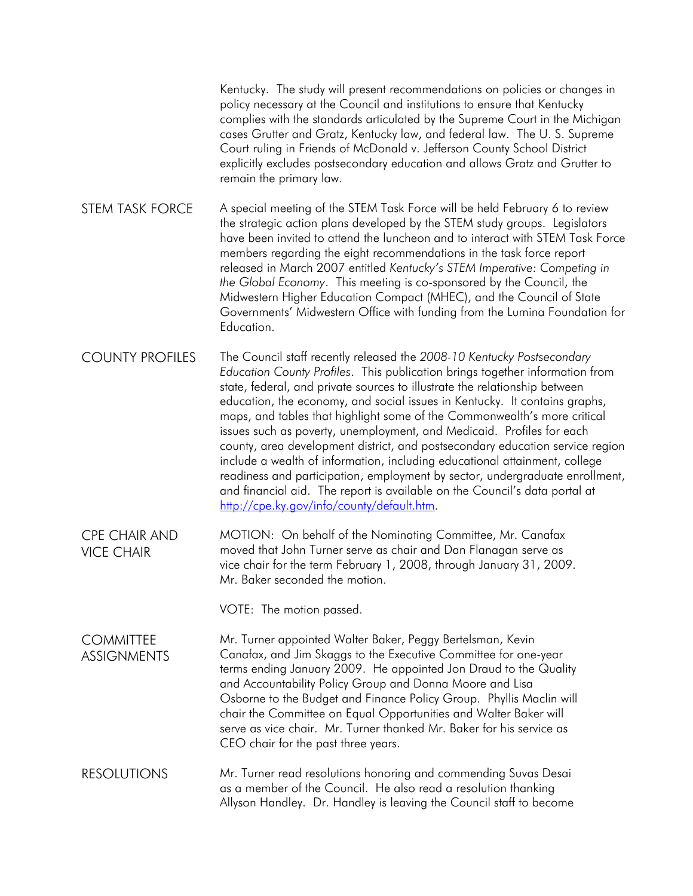Kentucky. The study will present recommendations on policies or changes in policy necessary at the Council and institutions to ensure that Kentucky complies with the standards articulated by the Supreme Court in the Michigan cases Grutter and Gratz, Kentucky law, and federal law. The U. S. Supreme Court ruling in Friends of McDonald v. Jefferson County School District explicitly excludes postsecondary education and allows Gratz and Grutter to remain the primary law.

STEM TASK FORCE A special meeting of the STEM Task Force will be held February 6 to review the strategic action plans developed by the STEM study groups. Legislators have been invited to attend the luncheon and to interact with STEM Task Force members regarding the eight recommendations in the task force report released in March 2007 entitled *Kentucky's STEM Imperative: Competing in the Global Economy*. This meeting is co-sponsored by the Council, the Midwestern Higher Education Compact (MHEC), and the Council of State Governments' Midwestern Office with funding from the Lumina Foundation for **Education** 

COUNTY PROFILES The Council staff recently released the *2008-10 Kentucky Postsecondary Education County Profiles*. This publication brings together information from state, federal, and private sources to illustrate the relationship between education, the economy, and social issues in Kentucky. It contains graphs, maps, and tables that highlight some of the Commonwealth's more critical issues such as poverty, unemployment, and Medicaid. Profiles for each county, area development district, and postsecondary education service region include a wealth of information, including educational attainment, college readiness and participation, employment by sector, undergraduate enrollment, and financial aid. The report is available on the Council's data portal at <http://cpe.ky.gov/info/county/default.htm>.

CPE CHAIR AND VICE CHAIR MOTION: On behalf of the Nominating Committee, Mr. Canafax moved that John Turner serve as chair and Dan Flanagan serve as vice chair for the term February 1, 2008, through January 31, 2009. Mr. Baker seconded the motion.

VOTE: The motion passed.

**COMMITTEE ASSIGNMENTS** Mr. Turner appointed Walter Baker, Peggy Bertelsman, Kevin Canafax, and Jim Skaggs to the Executive Committee for one-year terms ending January 2009. He appointed Jon Draud to the Quality and Accountability Policy Group and Donna Moore and Lisa Osborne to the Budget and Finance Policy Group. Phyllis Maclin will chair the Committee on Equal Opportunities and Walter Baker will serve as vice chair. Mr. Turner thanked Mr. Baker for his service as CEO chair for the past three years.

RESOLUTIONS Mr. Turner read resolutions honoring and commending Suvas Desai as a member of the Council. He also read a resolution thanking Allyson Handley. Dr. Handley is leaving the Council staff to become